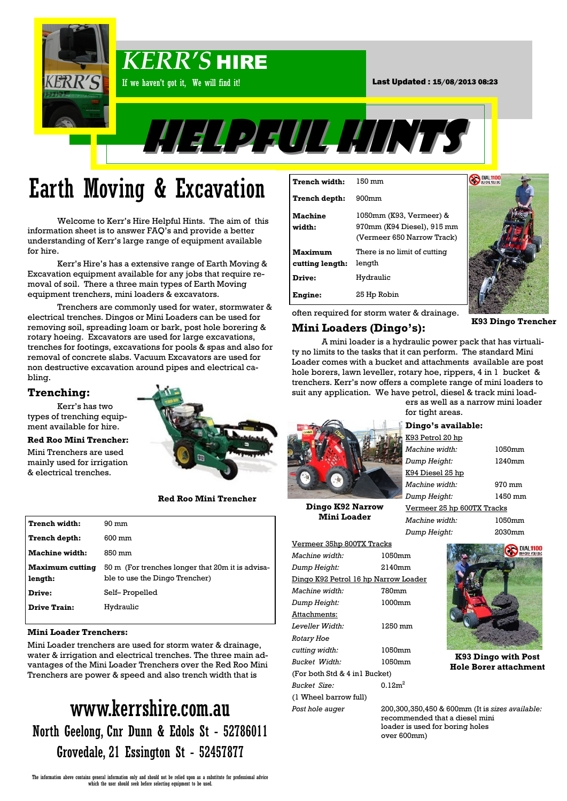

# Earth Moving & Excavation

Welcome to Kerr's Hire Helpful Hints. The aim of this information sheet is to answer FAQ's and provide a better understanding of Kerr's large range of equipment available for hire.

Kerr's Hire's has a extensive range of Earth Moving & Excavation equipment available for any jobs that require removal of soil. There a three main types of Earth Moving equipment trenchers, mini loaders & excavators.

Trenchers are commonly used for water, stormwater & electrical trenches. Dingos or Mini Loaders can be used for removing soil, spreading loam or bark, post hole borering & rotary hoeing. Excavators are used for large excavations, trenches for footings, excavations for pools & spas and also for removal of concrete slabs. Vacuum Excavators are used for non destructive excavation around pipes and electrical cabling.

# **Trenching:**

Kerr's has two types of trenching equipment available for hire.

## **Red Roo Mini Trencher:**

Mini Trenchers are used mainly used for irrigation & electrical trenches.



**Red Roo Mini Trencher** 

| Trench width:              | $90 \text{ mm}$                                                                    |
|----------------------------|------------------------------------------------------------------------------------|
| Trench depth:              | $600 \text{ mm}$                                                                   |
| Machine width:             | 850 mm                                                                             |
| Maximum cutting<br>length: | 50 m (For trenches longer that 20m it is advisa-<br>ble to use the Dingo Trencher) |
| Drive:                     | Self– Propelled                                                                    |
| <b>Drive Train:</b>        | Hydraulic                                                                          |

### **Mini Loader Trenchers:**

Mini Loader trenchers are used for storm water & drainage, water & irrigation and electrical trenches. The three main advantages of the Mini Loader Trenchers over the Red Roo Mini Trenchers are power & speed and also trench width that is

# www.kerrshire.com.au North Geelong, Cnr Dunn & Edols St - 52786011 Grovedale, 21 Essington St - 52457877

| Trench width:              | $150 \text{ mm}$                                                                    |
|----------------------------|-------------------------------------------------------------------------------------|
| Trench depth:              | $900$ mm                                                                            |
| <b>Machine</b><br>width:   | 1050mm (K93, Vermeer) &<br>970mm (K94 Diesel), 915 mm<br>(Vermeer 650 Narrow Track) |
| Maximum<br>cutting length: | There is no limit of cutting<br>length                                              |
| Drive:                     | Hydraulic                                                                           |
| Engine:                    | 25 Hp Robin                                                                         |



often required for storm water & drainage.

# **Mini Loaders (Dingo's):**

**K93 Dingo Trencher**

DIAL1100

A mini loader is a hydraulic power pack that has virtuality no limits to the tasks that it can perform. The standard Mini Loader comes with a bucket and attachments available are post hole borers, lawn leveller, rotary hoe, rippers, 4 in 1 bucket & trenchers. Kerr's now offers a complete range of mini loaders to suit any application. We have petrol, diesel & track mini loaders as well as a narrow mini loader



**Dingo K92 Narrow Mini Loader**

| Vermeer 35hp 800TX Tracks            |                |
|--------------------------------------|----------------|
| Machine width:                       | 1050mm         |
| Dump Height:                         | 2140mm         |
| Dingo K92 Petrol 16 hp Narrow Loader |                |
| <i>Machine width:</i>                | 780mm          |
| Dump Height:                         | 1000mm         |
| Attachments:                         |                |
| Leveller Width:                      | 1250 mm        |
| <b>Rotary Hoe</b>                    |                |
| cutting width:                       | 1050mm         |
| <b>Bucket Width:</b>                 | 1050mm         |
| (For both Std & 4 in1 Bucket)        |                |
| <b>Bucket Size:</b>                  | $0.12m^2$      |
| (1 Wheel barrow full)                |                |
| Post hole auger                      | 200,300,350,4  |
|                                      | . <b>. .</b> . |



**K93 Dingo with Post Hole Borer attachment**

*Post hole auger* 200,300,350,450 & 600mm (It is *sizes available:* recommended that a diesel mini loader is used for boring holes over 600mm)

Vermeer 25 hp 600TX Tracks *Machine width:* 1050mm